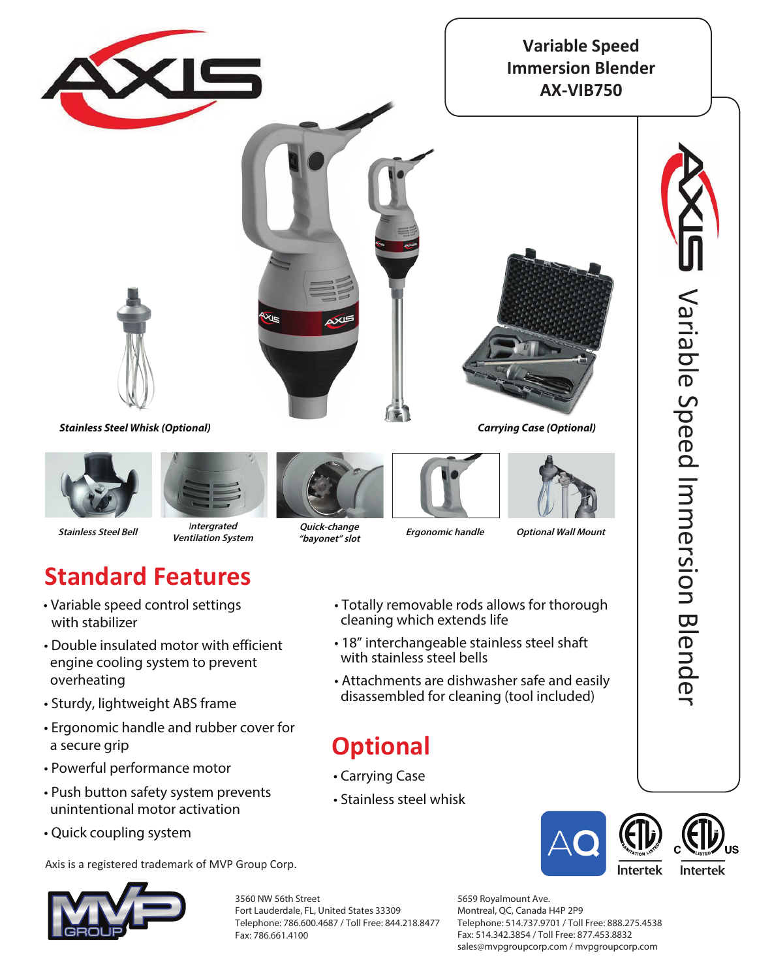

## **Standard Features**

- Variable speed control settings with stabilizer
- Double insulated motor with efficient engine cooling system to prevent overheating
- Sturdy, lightweight ABS frame
- Ergonomic handle and rubber cover for a secure grip
- Powerful performance motor
- Push button safety system prevents unintentional motor activation
- Quick coupling system

Axis is a registered trademark of MVP Group Corp.



3560 NW 56th Street Fort Lauderdale, FL, United States 33309 Telephone: 786.600.4687 / Toll Free: 844.218.8477 Fax: 786.661.4100

• Totally removable rods allows for thorough cleaning which extends life

- 18" interchangeable stainless steel shaft with stainless steel bells
- Attachments are dishwasher safe and easily disassembled for cleaning (tool included)

## **Optional**

- Carrying Case
- Stainless steel whisk

5659 Royalmount Ave. Montreal, QC, Canada H4P 2P9 Telephone: 514.737.9701 / Toll Free: 888.275.4538 Fax: 514.342.3854 / Toll Free: 877.453.8832 sales@mvpgroupcorp.com / mvpgroupcorp.com